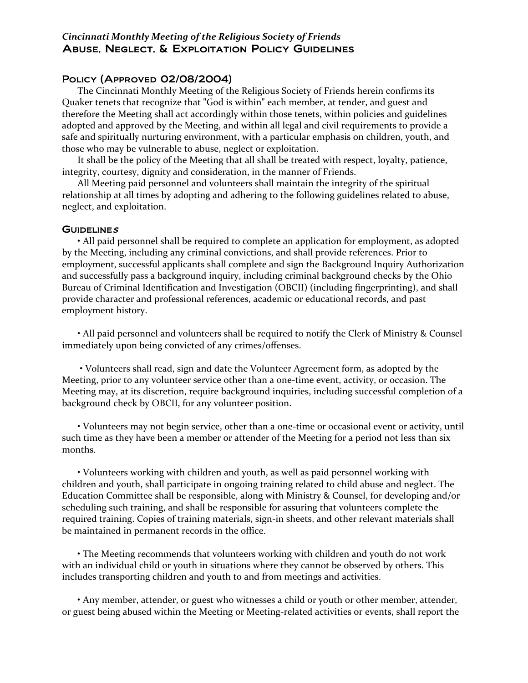## *Cincinnati Monthly Meeting of the Religious Society of Friends* Abuse, Neglect, & Exploitation Policy Guidelines

## Policy (Approved 02/08/2004)

The Cincinnati Monthly Meeting of the Religious Society of Friends herein confirms its Quaker tenets that recognize that "God is within" each member, at tender, and guest and therefore the Meeting shall act accordingly within those tenets, within policies and guidelines adopted and approved by the Meeting, and within all legal and civil requirements to provide a safe and spiritually nurturing environment, with a particular emphasis on children, youth, and those who may be vulnerable to abuse, neglect or exploitation.

It shall be the policy of the Meeting that all shall be treated with respect, loyalty, patience, integrity, courtesy, dignity and consideration, in the manner of Friends.

All Meeting paid personnel and volunteers shall maintain the integrity of the spiritual relationship at all times by adopting and adhering to the following guidelines related to abuse, neglect, and exploitation.

## $G$ uidelines

• All paid personnel shall be required to complete an application for employment, as adopted by the Meeting, including any criminal convictions, and shall provide references. Prior to employment, successful applicants shall complete and sign the Background Inquiry Authorization and successfully pass a background inquiry, including criminal background checks by the Ohio Bureau of Criminal Identification and Investigation (OBCII) (including fingerprinting), and shall provide character and professional references, academic or educational records, and past employment history.

• All paid personnel and volunteers shall be required to notify the Clerk of Ministry & Counsel immediately upon being convicted of any crimes/offenses.

• Volunteers shall read, sign and date the Volunteer Agreement form, as adopted by the Meeting, prior to any volunteer service other than a one-time event, activity, or occasion. The Meeting may, at its discretion, require background inquiries, including successful completion of a background check by OBCII, for any volunteer position.

• Volunteers may not begin service, other than a one‐time or occasional event or activity, until such time as they have been a member or attender of the Meeting for a period not less than six months.

• Volunteers working with children and youth, as well as paid personnel working with children and youth, shall participate in ongoing training related to child abuse and neglect. The Education Committee shall be responsible, along with Ministry & Counsel, for developing and/or scheduling such training, and shall be responsible for assuring that volunteers complete the required training. Copies of training materials, sign-in sheets, and other relevant materials shall be maintained in permanent records in the office.

• The Meeting recommends that volunteers working with children and youth do not work with an individual child or youth in situations where they cannot be observed by others. This includes transporting children and youth to and from meetings and activities.

• Any member, attender, or guest who witnesses a child or youth or other member, attender, or guest being abused within the Meeting or Meeting‐related activities or events, shall report the